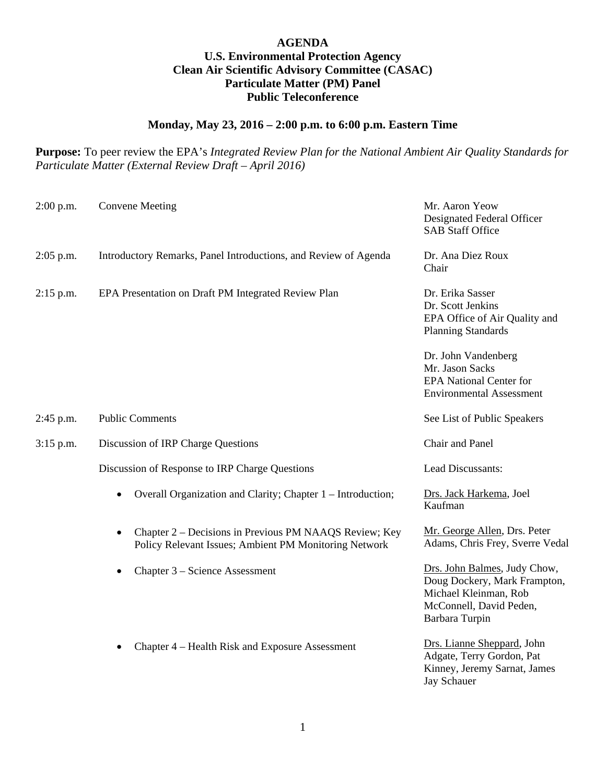## **AGENDA U.S. Environmental Protection Agency Clean Air Scientific Advisory Committee (CASAC) Particulate Matter (PM) Panel Public Teleconference**

## **Monday, May 23, 2016 – 2:00 p.m. to 6:00 p.m. Eastern Time**

**Purpose:** To peer review the EPA's *Integrated Review Plan for the National Ambient Air Quality Standards for Particulate Matter (External Review Draft – April 2016)*

| $2:00$ p.m. | <b>Convene Meeting</b>                                                                                          | Mr. Aaron Yeow<br>Designated Federal Officer<br><b>SAB Staff Office</b>                                                            |
|-------------|-----------------------------------------------------------------------------------------------------------------|------------------------------------------------------------------------------------------------------------------------------------|
| $2:05$ p.m. | Introductory Remarks, Panel Introductions, and Review of Agenda                                                 | Dr. Ana Diez Roux<br>Chair                                                                                                         |
| $2:15$ p.m. | EPA Presentation on Draft PM Integrated Review Plan                                                             | Dr. Erika Sasser<br>Dr. Scott Jenkins<br>EPA Office of Air Quality and<br><b>Planning Standards</b>                                |
|             |                                                                                                                 | Dr. John Vandenberg<br>Mr. Jason Sacks<br><b>EPA National Center for</b><br><b>Environmental Assessment</b>                        |
| 2:45 p.m.   | <b>Public Comments</b>                                                                                          | See List of Public Speakers                                                                                                        |
| $3:15$ p.m. | Discussion of IRP Charge Questions                                                                              | Chair and Panel                                                                                                                    |
|             | Discussion of Response to IRP Charge Questions                                                                  | Lead Discussants:                                                                                                                  |
|             | Overall Organization and Clarity; Chapter 1 - Introduction;                                                     | Drs. Jack Harkema, Joel<br>Kaufman                                                                                                 |
|             | Chapter 2 – Decisions in Previous PM NAAQS Review; Key<br>Policy Relevant Issues; Ambient PM Monitoring Network | Mr. George Allen, Drs. Peter<br>Adams, Chris Frey, Sverre Vedal                                                                    |
|             | Chapter 3 – Science Assessment                                                                                  | Drs. John Balmes, Judy Chow,<br>Doug Dockery, Mark Frampton,<br>Michael Kleinman, Rob<br>McConnell, David Peden,<br>Barbara Turpin |
|             | Chapter 4 – Health Risk and Exposure Assessment<br>٠                                                            | Drs. Lianne Sheppard, John<br>Adgate, Terry Gordon, Pat<br>Kinney, Jeremy Sarnat, James<br><b>Jay Schauer</b>                      |